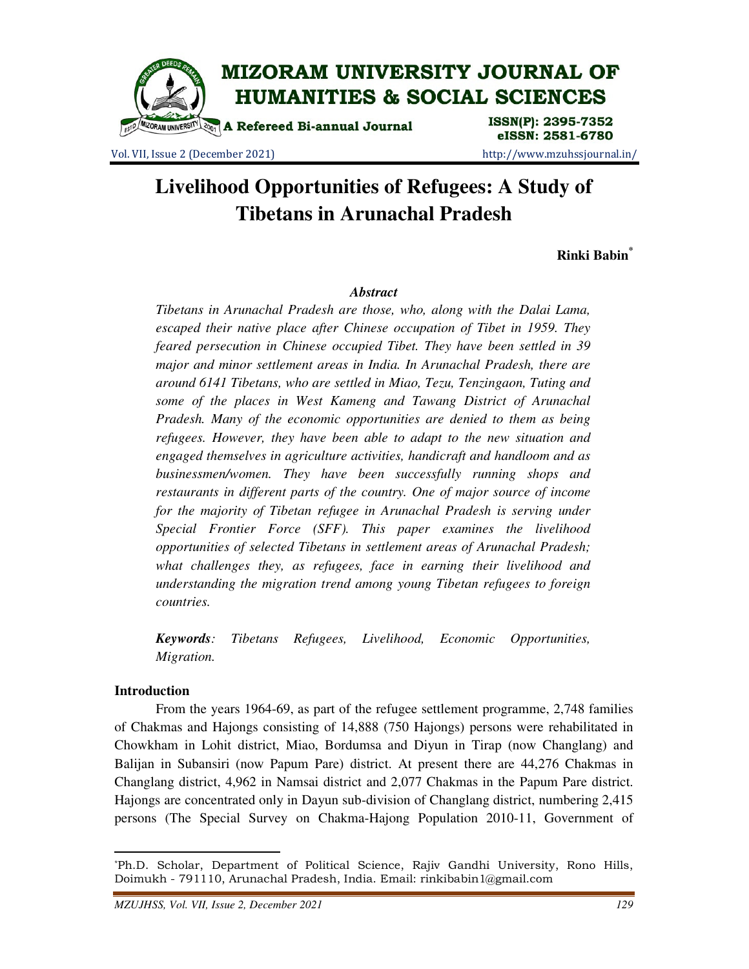

Vol. VII, Issue 2 (December 2021) http://www.mzuhssjournal.in/

# eISSN: 2581-6780

# **Livelihood Opportunities of Refugees: A Study of Tibetans in Arunachal Pradesh**

**Rinki Babin\***

## *Abstract*

*Tibetans in Arunachal Pradesh are those, who, along with the Dalai Lama, escaped their native place after Chinese occupation of Tibet in 1959. They feared persecution in Chinese occupied Tibet. They have been settled in 39 major and minor settlement areas in India. In Arunachal Pradesh, there are around 6141 Tibetans, who are settled in Miao, Tezu, Tenzingaon, Tuting and some of the places in West Kameng and Tawang District of Arunachal Pradesh. Many of the economic opportunities are denied to them as being refugees. However, they have been able to adapt to the new situation and engaged themselves in agriculture activities, handicraft and handloom and as businessmen/women. They have been successfully running shops and restaurants in different parts of the country. One of major source of income*  for the majority of Tibetan refugee in Arunachal Pradesh is serving under *Special Frontier Force (SFF). This paper examines the livelihood opportunities of selected Tibetans in settlement areas of Arunachal Pradesh; what challenges they, as refugees, face in earning their livelihood and understanding the migration trend among young Tibetan refugees to foreign countries.* 

*Keywords: Tibetans Refugees, Livelihood, Economic Opportunities, Migration.* 

## **Introduction**

 $\overline{a}$ 

 From the years 1964-69, as part of the refugee settlement programme, 2,748 families of Chakmas and Hajongs consisting of 14,888 (750 Hajongs) persons were rehabilitated in Chowkham in Lohit district, Miao, Bordumsa and Diyun in Tirap (now Changlang) and Balijan in Subansiri (now Papum Pare) district. At present there are 44,276 Chakmas in Changlang district, 4,962 in Namsai district and 2,077 Chakmas in the Papum Pare district. Hajongs are concentrated only in Dayun sub-division of Changlang district, numbering 2,415 persons (The Special Survey on Chakma-Hajong Population 2010-11, Government of

<sup>\*</sup>Ph.D. Scholar, Department of Political Science, Rajiv Gandhi University, Rono Hills, Doimukh - 791110, Arunachal Pradesh, India. Email: rinkibabin1@gmail.com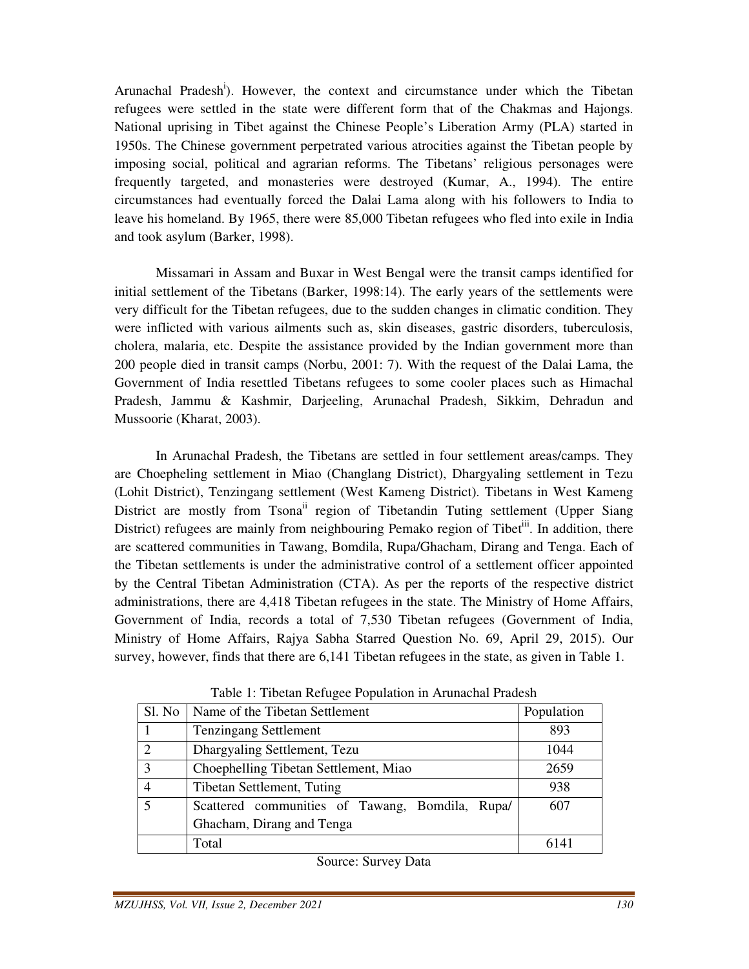Arunachal Pradesh<sup>i</sup>). However, the context and circumstance under which the Tibetan refugees were settled in the state were different form that of the Chakmas and Hajongs. National uprising in Tibet against the Chinese People's Liberation Army (PLA) started in 1950s. The Chinese government perpetrated various atrocities against the Tibetan people by imposing social, political and agrarian reforms. The Tibetans' religious personages were frequently targeted, and monasteries were destroyed (Kumar, A., 1994). The entire circumstances had eventually forced the Dalai Lama along with his followers to India to leave his homeland. By 1965, there were 85,000 Tibetan refugees who fled into exile in India and took asylum (Barker, 1998).

 Missamari in Assam and Buxar in West Bengal were the transit camps identified for initial settlement of the Tibetans (Barker, 1998:14). The early years of the settlements were very difficult for the Tibetan refugees, due to the sudden changes in climatic condition. They were inflicted with various ailments such as, skin diseases, gastric disorders, tuberculosis, cholera, malaria, etc. Despite the assistance provided by the Indian government more than 200 people died in transit camps (Norbu, 2001: 7). With the request of the Dalai Lama, the Government of India resettled Tibetans refugees to some cooler places such as Himachal Pradesh, Jammu & Kashmir, Darjeeling, Arunachal Pradesh, Sikkim, Dehradun and Mussoorie (Kharat, 2003).

 In Arunachal Pradesh, the Tibetans are settled in four settlement areas/camps. They are Choepheling settlement in Miao (Changlang District), Dhargyaling settlement in Tezu (Lohit District), Tenzingang settlement (West Kameng District). Tibetans in West Kameng District are mostly from Tsona<sup>ii</sup> region of Tibetandin Tuting settlement (Upper Siang District) refugees are mainly from neighbouring Pemako region of Tibet<sup>iii</sup>. In addition, there are scattered communities in Tawang, Bomdila, Rupa/Ghacham, Dirang and Tenga. Each of the Tibetan settlements is under the administrative control of a settlement officer appointed by the Central Tibetan Administration (CTA). As per the reports of the respective district administrations, there are 4,418 Tibetan refugees in the state. The Ministry of Home Affairs, Government of India, records a total of 7,530 Tibetan refugees (Government of India, Ministry of Home Affairs, Rajya Sabha Starred Question No. 69, April 29, 2015). Our survey, however, finds that there are 6,141 Tibetan refugees in the state, as given in Table 1.

| Sl. No                  | Name of the Tibetan Settlement                  | Population |
|-------------------------|-------------------------------------------------|------------|
|                         | <b>Tenzingang Settlement</b>                    | 893        |
| 2                       | Dhargyaling Settlement, Tezu                    | 1044       |
| 3                       | Choephelling Tibetan Settlement, Miao           | 2659       |
| $\overline{4}$          | Tibetan Settlement, Tuting                      | 938        |
| $\overline{\mathbf{z}}$ | Scattered communities of Tawang, Bomdila, Rupa/ | 607        |
|                         | Ghacham, Dirang and Tenga                       |            |
|                         | Total                                           | 6141       |

Table 1: Tibetan Refugee Population in Arunachal Pradesh

Source: Survey Data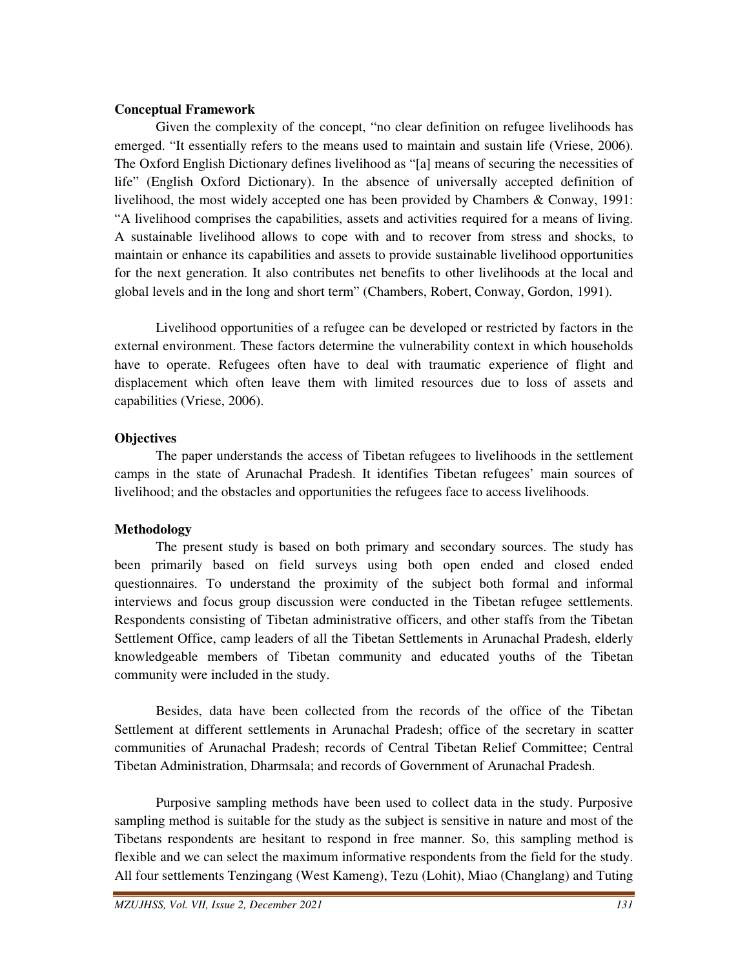#### **Conceptual Framework**

 Given the complexity of the concept, "no clear definition on refugee livelihoods has emerged. "It essentially refers to the means used to maintain and sustain life (Vriese, 2006). The Oxford English Dictionary defines livelihood as "[a] means of securing the necessities of life" (English Oxford Dictionary). In the absence of universally accepted definition of livelihood, the most widely accepted one has been provided by Chambers & Conway, 1991: "A livelihood comprises the capabilities, assets and activities required for a means of living. A sustainable livelihood allows to cope with and to recover from stress and shocks, to maintain or enhance its capabilities and assets to provide sustainable livelihood opportunities for the next generation. It also contributes net benefits to other livelihoods at the local and global levels and in the long and short term" (Chambers, Robert, Conway, Gordon, 1991).

 Livelihood opportunities of a refugee can be developed or restricted by factors in the external environment. These factors determine the vulnerability context in which households have to operate. Refugees often have to deal with traumatic experience of flight and displacement which often leave them with limited resources due to loss of assets and capabilities (Vriese, 2006).

# **Objectives**

 The paper understands the access of Tibetan refugees to livelihoods in the settlement camps in the state of Arunachal Pradesh. It identifies Tibetan refugees' main sources of livelihood; and the obstacles and opportunities the refugees face to access livelihoods.

# **Methodology**

 The present study is based on both primary and secondary sources. The study has been primarily based on field surveys using both open ended and closed ended questionnaires. To understand the proximity of the subject both formal and informal interviews and focus group discussion were conducted in the Tibetan refugee settlements. Respondents consisting of Tibetan administrative officers, and other staffs from the Tibetan Settlement Office, camp leaders of all the Tibetan Settlements in Arunachal Pradesh, elderly knowledgeable members of Tibetan community and educated youths of the Tibetan community were included in the study.

 Besides, data have been collected from the records of the office of the Tibetan Settlement at different settlements in Arunachal Pradesh; office of the secretary in scatter communities of Arunachal Pradesh; records of Central Tibetan Relief Committee; Central Tibetan Administration, Dharmsala; and records of Government of Arunachal Pradesh.

 Purposive sampling methods have been used to collect data in the study. Purposive sampling method is suitable for the study as the subject is sensitive in nature and most of the Tibetans respondents are hesitant to respond in free manner. So, this sampling method is flexible and we can select the maximum informative respondents from the field for the study. All four settlements Tenzingang (West Kameng), Tezu (Lohit), Miao (Changlang) and Tuting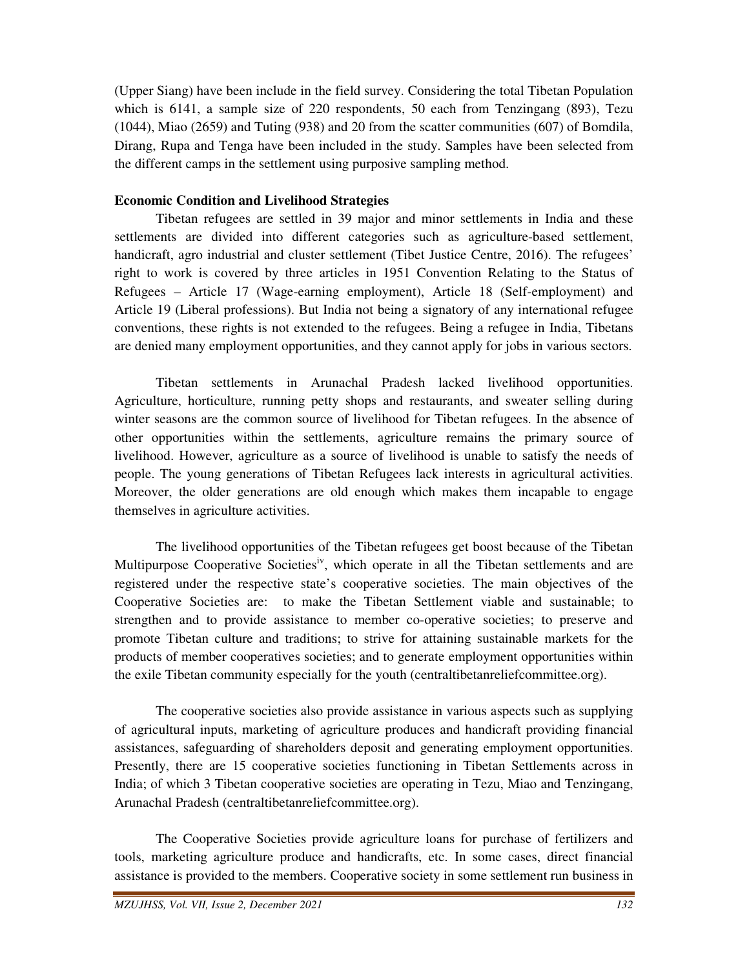(Upper Siang) have been include in the field survey. Considering the total Tibetan Population which is 6141, a sample size of 220 respondents, 50 each from Tenzingang (893), Tezu (1044), Miao (2659) and Tuting (938) and 20 from the scatter communities (607) of Bomdila, Dirang, Rupa and Tenga have been included in the study. Samples have been selected from the different camps in the settlement using purposive sampling method.

# **Economic Condition and Livelihood Strategies**

 Tibetan refugees are settled in 39 major and minor settlements in India and these settlements are divided into different categories such as agriculture-based settlement, handicraft, agro industrial and cluster settlement (Tibet Justice Centre, 2016). The refugees' right to work is covered by three articles in 1951 Convention Relating to the Status of Refugees – Article 17 (Wage-earning employment), Article 18 (Self-employment) and Article 19 (Liberal professions). But India not being a signatory of any international refugee conventions, these rights is not extended to the refugees. Being a refugee in India, Tibetans are denied many employment opportunities, and they cannot apply for jobs in various sectors.

 Tibetan settlements in Arunachal Pradesh lacked livelihood opportunities. Agriculture, horticulture, running petty shops and restaurants, and sweater selling during winter seasons are the common source of livelihood for Tibetan refugees. In the absence of other opportunities within the settlements, agriculture remains the primary source of livelihood. However, agriculture as a source of livelihood is unable to satisfy the needs of people. The young generations of Tibetan Refugees lack interests in agricultural activities. Moreover, the older generations are old enough which makes them incapable to engage themselves in agriculture activities.

 The livelihood opportunities of the Tibetan refugees get boost because of the Tibetan Multipurpose Cooperative Societies<sup>iv</sup>, which operate in all the Tibetan settlements and are registered under the respective state's cooperative societies. The main objectives of the Cooperative Societies are: to make the Tibetan Settlement viable and sustainable; to strengthen and to provide assistance to member co-operative societies; to preserve and promote Tibetan culture and traditions; to strive for attaining sustainable markets for the products of member cooperatives societies; and to generate employment opportunities within the exile Tibetan community especially for the youth (centraltibetanreliefcommittee.org).

 The cooperative societies also provide assistance in various aspects such as supplying of agricultural inputs, marketing of agriculture produces and handicraft providing financial assistances, safeguarding of shareholders deposit and generating employment opportunities. Presently, there are 15 cooperative societies functioning in Tibetan Settlements across in India; of which 3 Tibetan cooperative societies are operating in Tezu, Miao and Tenzingang, Arunachal Pradesh (centraltibetanreliefcommittee.org).

 The Cooperative Societies provide agriculture loans for purchase of fertilizers and tools, marketing agriculture produce and handicrafts, etc. In some cases, direct financial assistance is provided to the members. Cooperative society in some settlement run business in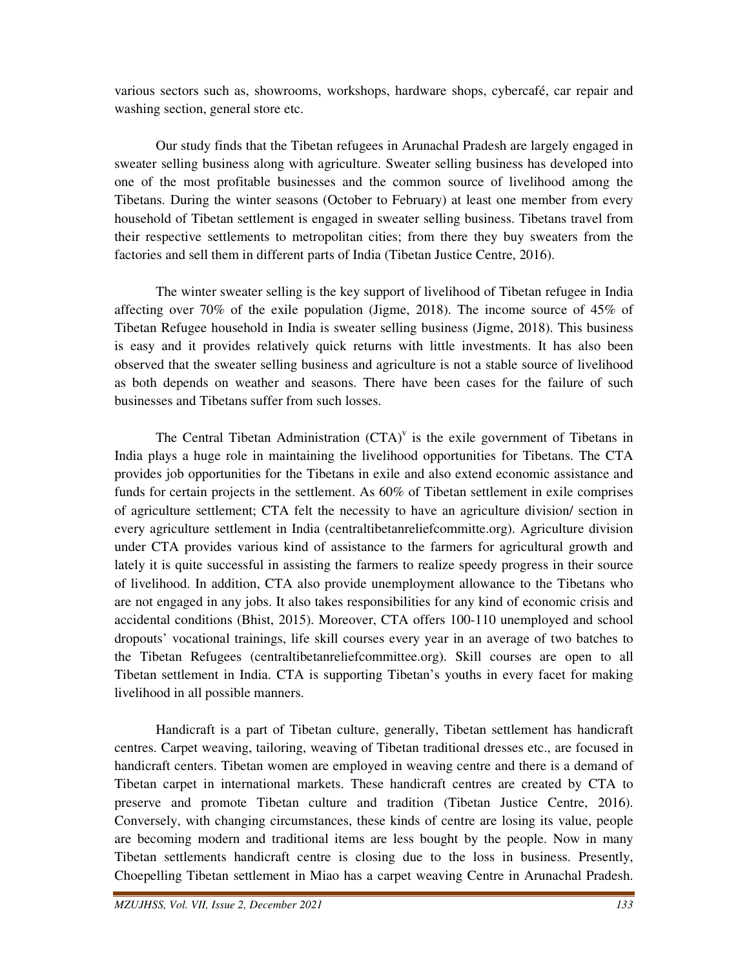various sectors such as, showrooms, workshops, hardware shops, cybercafé, car repair and washing section, general store etc.

 Our study finds that the Tibetan refugees in Arunachal Pradesh are largely engaged in sweater selling business along with agriculture. Sweater selling business has developed into one of the most profitable businesses and the common source of livelihood among the Tibetans. During the winter seasons (October to February) at least one member from every household of Tibetan settlement is engaged in sweater selling business. Tibetans travel from their respective settlements to metropolitan cities; from there they buy sweaters from the factories and sell them in different parts of India (Tibetan Justice Centre, 2016).

 The winter sweater selling is the key support of livelihood of Tibetan refugee in India affecting over 70% of the exile population (Jigme, 2018). The income source of 45% of Tibetan Refugee household in India is sweater selling business (Jigme, 2018). This business is easy and it provides relatively quick returns with little investments. It has also been observed that the sweater selling business and agriculture is not a stable source of livelihood as both depends on weather and seasons. There have been cases for the failure of such businesses and Tibetans suffer from such losses.

The Central Tibetan Administration  $(CTA)^{v}$  is the exile government of Tibetans in India plays a huge role in maintaining the livelihood opportunities for Tibetans. The CTA provides job opportunities for the Tibetans in exile and also extend economic assistance and funds for certain projects in the settlement. As 60% of Tibetan settlement in exile comprises of agriculture settlement; CTA felt the necessity to have an agriculture division/ section in every agriculture settlement in India (centraltibetanreliefcommitte.org). Agriculture division under CTA provides various kind of assistance to the farmers for agricultural growth and lately it is quite successful in assisting the farmers to realize speedy progress in their source of livelihood. In addition, CTA also provide unemployment allowance to the Tibetans who are not engaged in any jobs. It also takes responsibilities for any kind of economic crisis and accidental conditions (Bhist, 2015). Moreover, CTA offers 100-110 unemployed and school dropouts' vocational trainings, life skill courses every year in an average of two batches to the Tibetan Refugees (centraltibetanreliefcommittee.org). Skill courses are open to all Tibetan settlement in India. CTA is supporting Tibetan's youths in every facet for making livelihood in all possible manners.

 Handicraft is a part of Tibetan culture, generally, Tibetan settlement has handicraft centres. Carpet weaving, tailoring, weaving of Tibetan traditional dresses etc., are focused in handicraft centers. Tibetan women are employed in weaving centre and there is a demand of Tibetan carpet in international markets. These handicraft centres are created by CTA to preserve and promote Tibetan culture and tradition (Tibetan Justice Centre, 2016). Conversely, with changing circumstances, these kinds of centre are losing its value, people are becoming modern and traditional items are less bought by the people. Now in many Tibetan settlements handicraft centre is closing due to the loss in business. Presently, Choepelling Tibetan settlement in Miao has a carpet weaving Centre in Arunachal Pradesh.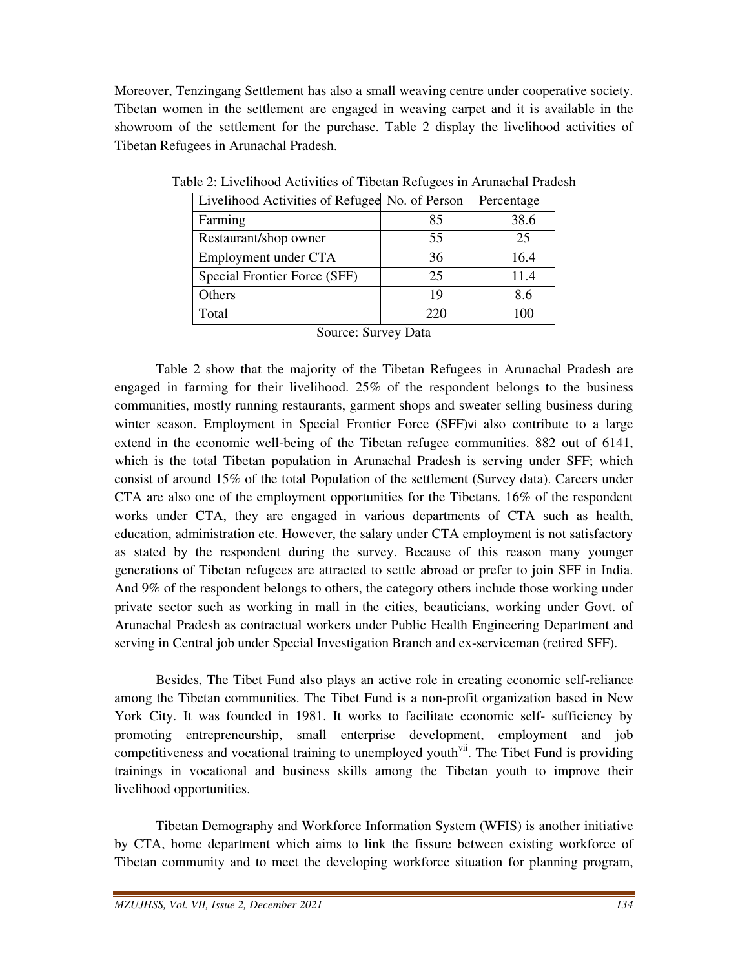Moreover, Tenzingang Settlement has also a small weaving centre under cooperative society. Tibetan women in the settlement are engaged in weaving carpet and it is available in the showroom of the settlement for the purchase. Table 2 display the livelihood activities of Tibetan Refugees in Arunachal Pradesh.

| Livelihood Activities of Refugee No. of Person |     | Percentage |
|------------------------------------------------|-----|------------|
| Farming                                        | 85  | 38.6       |
| Restaurant/shop owner                          | 55  | 25         |
| Employment under CTA                           | 36  | 16.4       |
| Special Frontier Force (SFF)                   | 25  | 11.4       |
| Others                                         | 19  | 8.6        |
| Total                                          | 220 | 100        |

Table 2: Livelihood Activities of Tibetan Refugees in Arunachal Pradesh

Source: Survey Data

 Table 2 show that the majority of the Tibetan Refugees in Arunachal Pradesh are engaged in farming for their livelihood. 25% of the respondent belongs to the business communities, mostly running restaurants, garment shops and sweater selling business during winter season. Employment in Special Frontier Force (SFF)vi also contribute to a large extend in the economic well-being of the Tibetan refugee communities. 882 out of 6141, which is the total Tibetan population in Arunachal Pradesh is serving under SFF; which consist of around 15% of the total Population of the settlement (Survey data). Careers under CTA are also one of the employment opportunities for the Tibetans. 16% of the respondent works under CTA, they are engaged in various departments of CTA such as health, education, administration etc. However, the salary under CTA employment is not satisfactory as stated by the respondent during the survey. Because of this reason many younger generations of Tibetan refugees are attracted to settle abroad or prefer to join SFF in India. And 9% of the respondent belongs to others, the category others include those working under private sector such as working in mall in the cities, beauticians, working under Govt. of Arunachal Pradesh as contractual workers under Public Health Engineering Department and serving in Central job under Special Investigation Branch and ex-serviceman (retired SFF).

 Besides, The Tibet Fund also plays an active role in creating economic self-reliance among the Tibetan communities. The Tibet Fund is a non-profit organization based in New York City. It was founded in 1981. It works to facilitate economic self- sufficiency by promoting entrepreneurship, small enterprise development, employment and job competitiveness and vocational training to unemployed youth<sup>vii</sup>. The Tibet Fund is providing trainings in vocational and business skills among the Tibetan youth to improve their livelihood opportunities.

 Tibetan Demography and Workforce Information System (WFIS) is another initiative by CTA, home department which aims to link the fissure between existing workforce of Tibetan community and to meet the developing workforce situation for planning program,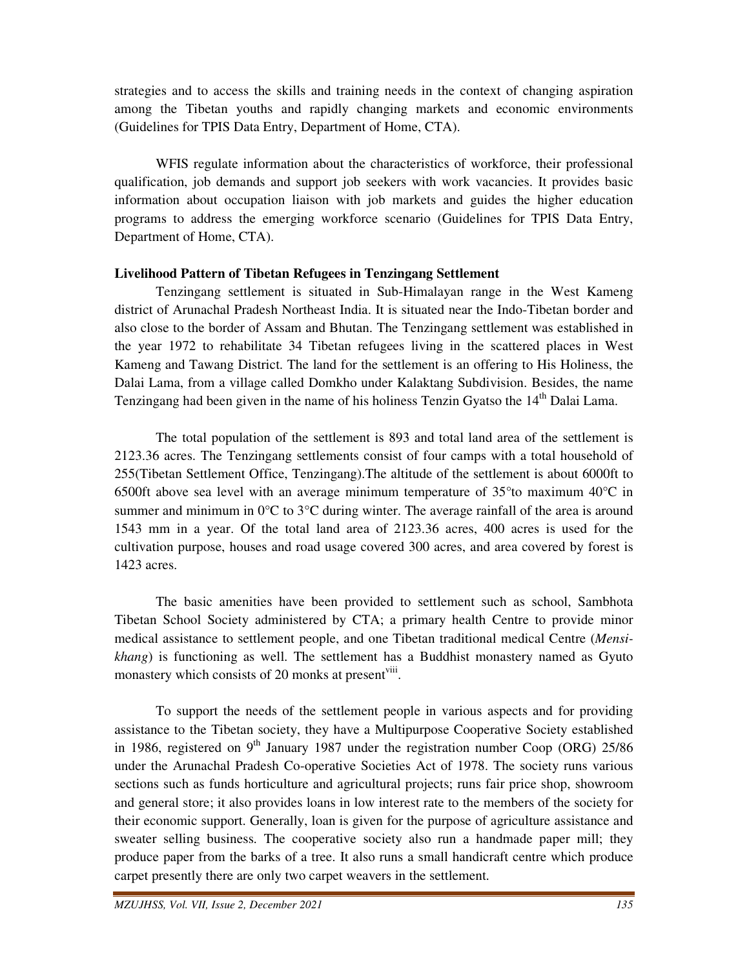strategies and to access the skills and training needs in the context of changing aspiration among the Tibetan youths and rapidly changing markets and economic environments (Guidelines for TPIS Data Entry, Department of Home, CTA).

 WFIS regulate information about the characteristics of workforce, their professional qualification, job demands and support job seekers with work vacancies. It provides basic information about occupation liaison with job markets and guides the higher education programs to address the emerging workforce scenario (Guidelines for TPIS Data Entry, Department of Home, CTA).

#### **Livelihood Pattern of Tibetan Refugees in Tenzingang Settlement**

 Tenzingang settlement is situated in Sub-Himalayan range in the West Kameng district of Arunachal Pradesh Northeast India. It is situated near the Indo-Tibetan border and also close to the border of Assam and Bhutan. The Tenzingang settlement was established in the year 1972 to rehabilitate 34 Tibetan refugees living in the scattered places in West Kameng and Tawang District. The land for the settlement is an offering to His Holiness, the Dalai Lama, from a village called Domkho under Kalaktang Subdivision. Besides, the name Tenzingang had been given in the name of his holiness Tenzin Gyatso the 14<sup>th</sup> Dalai Lama.

 The total population of the settlement is 893 and total land area of the settlement is 2123.36 acres. The Tenzingang settlements consist of four camps with a total household of 255(Tibetan Settlement Office, Tenzingang).The altitude of the settlement is about 6000ft to 6500ft above sea level with an average minimum temperature of  $35^{\circ}$ to maximum  $40^{\circ}$ C in summer and minimum in 0°C to 3°C during winter. The average rainfall of the area is around 1543 mm in a year. Of the total land area of 2123.36 acres, 400 acres is used for the cultivation purpose, houses and road usage covered 300 acres, and area covered by forest is 1423 acres.

 The basic amenities have been provided to settlement such as school, Sambhota Tibetan School Society administered by CTA; a primary health Centre to provide minor medical assistance to settlement people, and one Tibetan traditional medical Centre (*Mensikhang*) is functioning as well. The settlement has a Buddhist monastery named as Gyuto monastery which consists of 20 monks at present<sup>viii</sup>.

 To support the needs of the settlement people in various aspects and for providing assistance to the Tibetan society, they have a Multipurpose Cooperative Society established in 1986, registered on 9<sup>th</sup> January 1987 under the registration number Coop (ORG) 25/86 under the Arunachal Pradesh Co-operative Societies Act of 1978. The society runs various sections such as funds horticulture and agricultural projects; runs fair price shop, showroom and general store; it also provides loans in low interest rate to the members of the society for their economic support. Generally, loan is given for the purpose of agriculture assistance and sweater selling business. The cooperative society also run a handmade paper mill; they produce paper from the barks of a tree. It also runs a small handicraft centre which produce carpet presently there are only two carpet weavers in the settlement.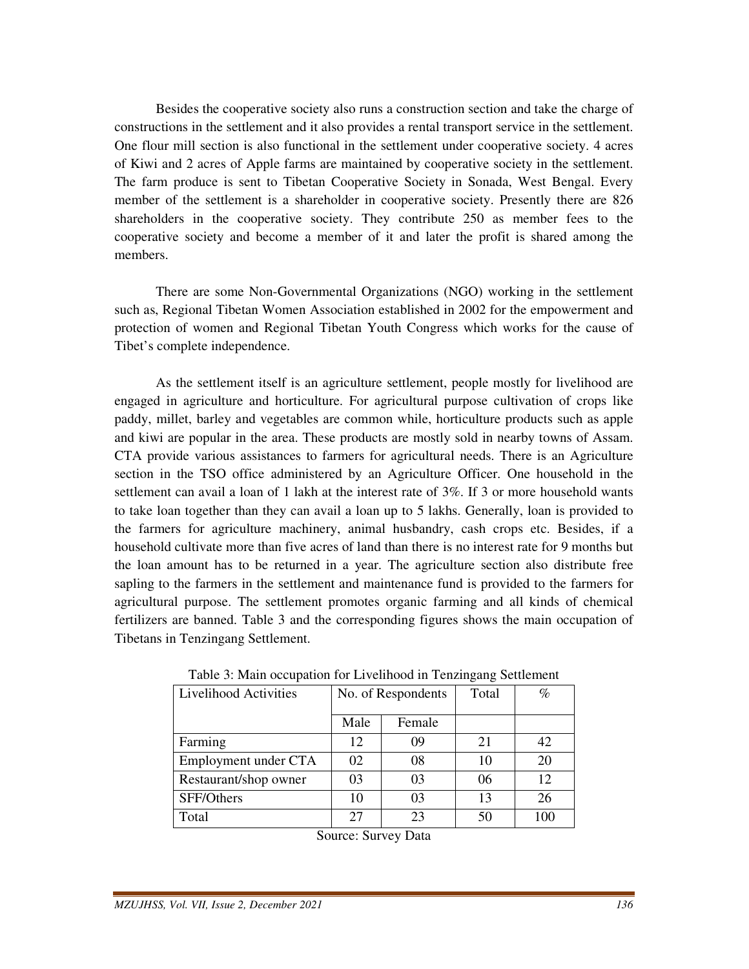Besides the cooperative society also runs a construction section and take the charge of constructions in the settlement and it also provides a rental transport service in the settlement. One flour mill section is also functional in the settlement under cooperative society. 4 acres of Kiwi and 2 acres of Apple farms are maintained by cooperative society in the settlement. The farm produce is sent to Tibetan Cooperative Society in Sonada, West Bengal. Every member of the settlement is a shareholder in cooperative society. Presently there are 826 shareholders in the cooperative society. They contribute 250 as member fees to the cooperative society and become a member of it and later the profit is shared among the members.

 There are some Non-Governmental Organizations (NGO) working in the settlement such as, Regional Tibetan Women Association established in 2002 for the empowerment and protection of women and Regional Tibetan Youth Congress which works for the cause of Tibet's complete independence.

 As the settlement itself is an agriculture settlement, people mostly for livelihood are engaged in agriculture and horticulture. For agricultural purpose cultivation of crops like paddy, millet, barley and vegetables are common while, horticulture products such as apple and kiwi are popular in the area. These products are mostly sold in nearby towns of Assam. CTA provide various assistances to farmers for agricultural needs. There is an Agriculture section in the TSO office administered by an Agriculture Officer. One household in the settlement can avail a loan of 1 lakh at the interest rate of 3%. If 3 or more household wants to take loan together than they can avail a loan up to 5 lakhs. Generally, loan is provided to the farmers for agriculture machinery, animal husbandry, cash crops etc. Besides, if a household cultivate more than five acres of land than there is no interest rate for 9 months but the loan amount has to be returned in a year. The agriculture section also distribute free sapling to the farmers in the settlement and maintenance fund is provided to the farmers for agricultural purpose. The settlement promotes organic farming and all kinds of chemical fertilizers are banned. Table 3 and the corresponding figures shows the main occupation of Tibetans in Tenzingang Settlement.

| Livelihood Activities |      | No. of Respondents | Total | $\%$ |  |  |  |
|-----------------------|------|--------------------|-------|------|--|--|--|
|                       | Male | Female             |       |      |  |  |  |
| Farming               | 12   | 09                 | 21    | 42   |  |  |  |
| Employment under CTA  | 02   | 08                 | 10    | 20   |  |  |  |
| Restaurant/shop owner | 03   | 03                 | 06    | 12   |  |  |  |
| SFF/Others            | 10   | 03                 | 13    | 26   |  |  |  |
| Total                 | 27   | 23                 | 50    | 100  |  |  |  |

Table 3: Main occupation for Livelihood in Tenzingang Settlement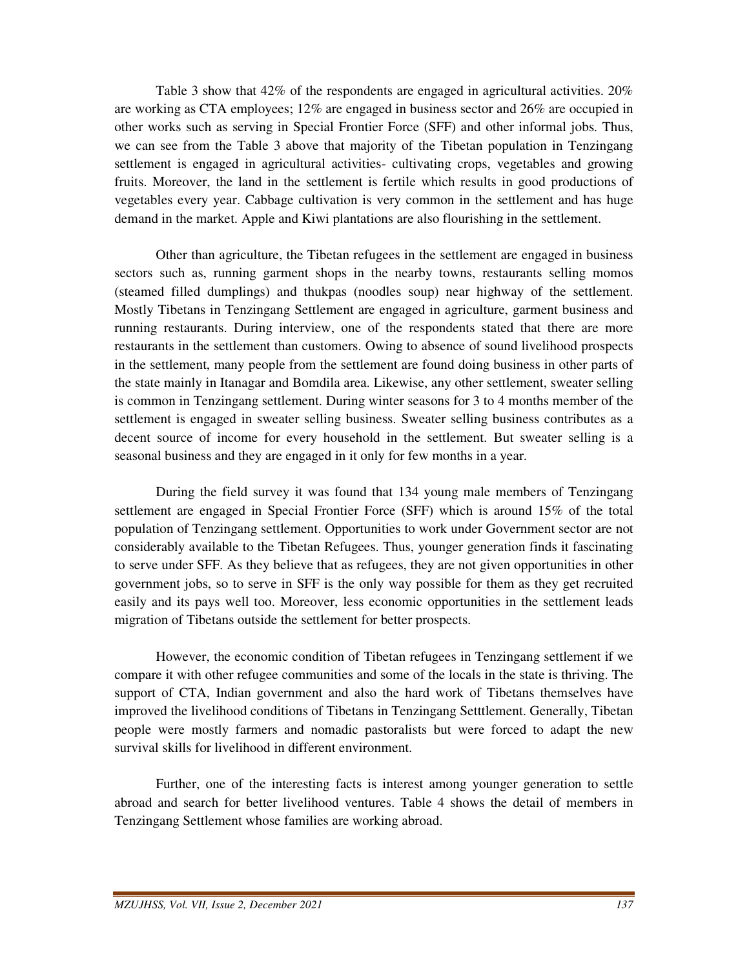Table 3 show that 42% of the respondents are engaged in agricultural activities. 20% are working as CTA employees; 12% are engaged in business sector and 26% are occupied in other works such as serving in Special Frontier Force (SFF) and other informal jobs. Thus, we can see from the Table 3 above that majority of the Tibetan population in Tenzingang settlement is engaged in agricultural activities- cultivating crops, vegetables and growing fruits. Moreover, the land in the settlement is fertile which results in good productions of vegetables every year. Cabbage cultivation is very common in the settlement and has huge demand in the market. Apple and Kiwi plantations are also flourishing in the settlement.

 Other than agriculture, the Tibetan refugees in the settlement are engaged in business sectors such as, running garment shops in the nearby towns, restaurants selling momos (steamed filled dumplings) and thukpas (noodles soup) near highway of the settlement. Mostly Tibetans in Tenzingang Settlement are engaged in agriculture, garment business and running restaurants. During interview, one of the respondents stated that there are more restaurants in the settlement than customers. Owing to absence of sound livelihood prospects in the settlement, many people from the settlement are found doing business in other parts of the state mainly in Itanagar and Bomdila area. Likewise, any other settlement, sweater selling is common in Tenzingang settlement. During winter seasons for 3 to 4 months member of the settlement is engaged in sweater selling business. Sweater selling business contributes as a decent source of income for every household in the settlement. But sweater selling is a seasonal business and they are engaged in it only for few months in a year.

 During the field survey it was found that 134 young male members of Tenzingang settlement are engaged in Special Frontier Force (SFF) which is around 15% of the total population of Tenzingang settlement. Opportunities to work under Government sector are not considerably available to the Tibetan Refugees. Thus, younger generation finds it fascinating to serve under SFF. As they believe that as refugees, they are not given opportunities in other government jobs, so to serve in SFF is the only way possible for them as they get recruited easily and its pays well too. Moreover, less economic opportunities in the settlement leads migration of Tibetans outside the settlement for better prospects.

 However, the economic condition of Tibetan refugees in Tenzingang settlement if we compare it with other refugee communities and some of the locals in the state is thriving. The support of CTA, Indian government and also the hard work of Tibetans themselves have improved the livelihood conditions of Tibetans in Tenzingang Setttlement. Generally, Tibetan people were mostly farmers and nomadic pastoralists but were forced to adapt the new survival skills for livelihood in different environment.

 Further, one of the interesting facts is interest among younger generation to settle abroad and search for better livelihood ventures. Table 4 shows the detail of members in Tenzingang Settlement whose families are working abroad.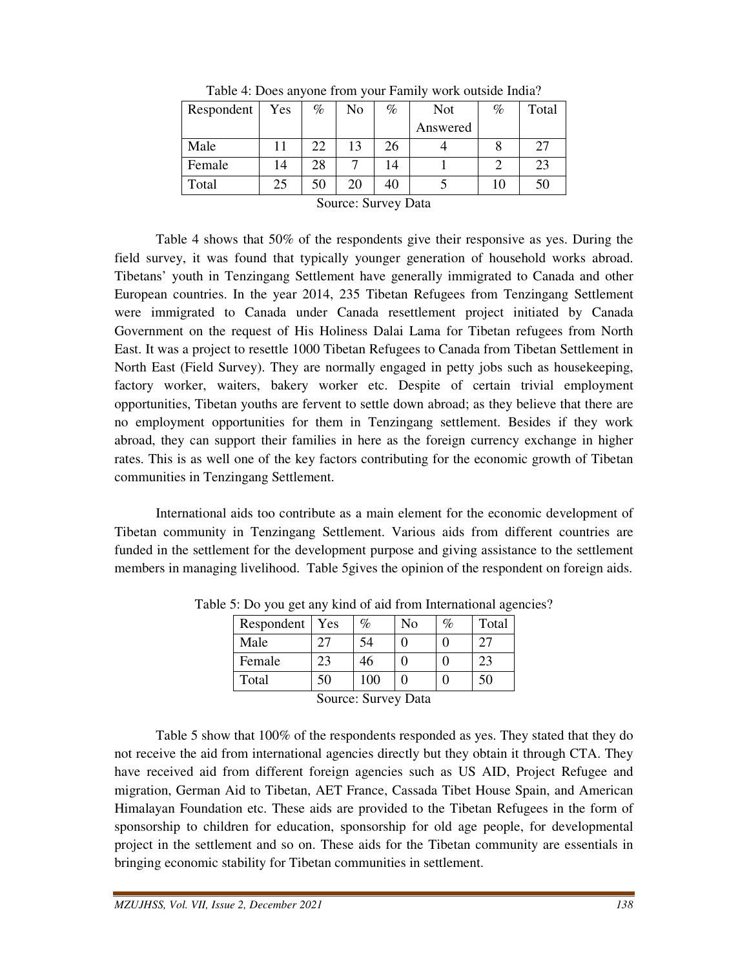| Respondent | Yes | $\%$<br>$\%$<br>No |        | <b>Not</b> | %              | Total |    |
|------------|-----|--------------------|--------|------------|----------------|-------|----|
|            |     |                    |        |            | Answered       |       |    |
| Male       |     | 22                 | 13     | 26         |                |       | 27 |
| Female     | 14  | 28                 |        | 14         |                |       | 23 |
| Total      | 25  | 50                 | 20     | 40         |                | 10    | 50 |
|            |     | $\sim$             | $\sim$ |            | $\blacksquare$ |       |    |

Table 4: Does anyone from your Family work outside India?

 Table 4 shows that 50% of the respondents give their responsive as yes. During the field survey, it was found that typically younger generation of household works abroad. Tibetans' youth in Tenzingang Settlement have generally immigrated to Canada and other European countries. In the year 2014, 235 Tibetan Refugees from Tenzingang Settlement were immigrated to Canada under Canada resettlement project initiated by Canada Government on the request of His Holiness Dalai Lama for Tibetan refugees from North East. It was a project to resettle 1000 Tibetan Refugees to Canada from Tibetan Settlement in North East (Field Survey). They are normally engaged in petty jobs such as housekeeping, factory worker, waiters, bakery worker etc. Despite of certain trivial employment opportunities, Tibetan youths are fervent to settle down abroad; as they believe that there are no employment opportunities for them in Tenzingang settlement. Besides if they work abroad, they can support their families in here as the foreign currency exchange in higher rates. This is as well one of the key factors contributing for the economic growth of Tibetan communities in Tenzingang Settlement.

 International aids too contribute as a main element for the economic development of Tibetan community in Tenzingang Settlement. Various aids from different countries are funded in the settlement for the development purpose and giving assistance to the settlement members in managing livelihood. Table 5gives the opinion of the respondent on foreign aids.

| Respondent               | Yes | %  | No | $\%$ | Total |  |  |
|--------------------------|-----|----|----|------|-------|--|--|
| Male                     | 27  | 54 |    |      |       |  |  |
| Female                   | 23  | 46 |    |      | 23    |  |  |
| Total<br>50<br>100<br>50 |     |    |    |      |       |  |  |
| Source: Survey Data      |     |    |    |      |       |  |  |

Table 5: Do you get any kind of aid from International agencies?

 Table 5 show that 100% of the respondents responded as yes. They stated that they do not receive the aid from international agencies directly but they obtain it through CTA. They have received aid from different foreign agencies such as US AID, Project Refugee and migration, German Aid to Tibetan, AET France, Cassada Tibet House Spain, and American Himalayan Foundation etc. These aids are provided to the Tibetan Refugees in the form of sponsorship to children for education, sponsorship for old age people, for developmental project in the settlement and so on. These aids for the Tibetan community are essentials in bringing economic stability for Tibetan communities in settlement.

Source: Survey Data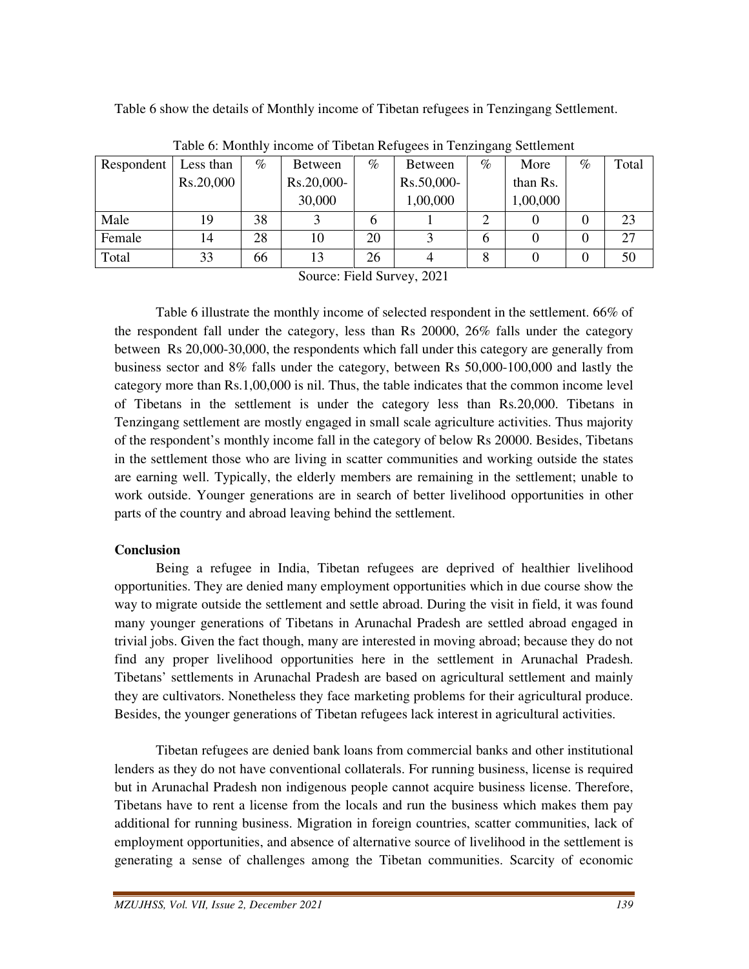Table 6 show the details of Monthly income of Tibetan refugees in Tenzingang Settlement.

| Respondent | Less than | $\%$ | Between    | $\%$ | <b>Between</b> | $\%$ | More     | $\%$ | Total |
|------------|-----------|------|------------|------|----------------|------|----------|------|-------|
|            | Rs.20,000 |      | Rs.20,000- |      | Rs.50,000-     |      | than Rs. |      |       |
|            |           |      | 30,000     |      | 1,00,000       |      | 1,00,000 |      |       |
| Male       | 19        | 38   |            | b    |                |      |          |      | 23    |
| Female     | 14        | 28   | 10         | 20   |                | b    |          |      | 27    |
| Total      | 33        | 66   | 13         | 26   |                | 8    |          |      | 50    |

Table 6: Monthly income of Tibetan Refugees in Tenzingang Settlement

Source: Field Survey, 2021

 Table 6 illustrate the monthly income of selected respondent in the settlement. 66% of the respondent fall under the category, less than Rs 20000, 26% falls under the category between Rs 20,000-30,000, the respondents which fall under this category are generally from business sector and 8% falls under the category, between Rs 50,000-100,000 and lastly the category more than Rs.1,00,000 is nil. Thus, the table indicates that the common income level of Tibetans in the settlement is under the category less than Rs.20,000. Tibetans in Tenzingang settlement are mostly engaged in small scale agriculture activities. Thus majority of the respondent's monthly income fall in the category of below Rs 20000. Besides, Tibetans in the settlement those who are living in scatter communities and working outside the states are earning well. Typically, the elderly members are remaining in the settlement; unable to work outside. Younger generations are in search of better livelihood opportunities in other parts of the country and abroad leaving behind the settlement.

#### **Conclusion**

 Being a refugee in India, Tibetan refugees are deprived of healthier livelihood opportunities. They are denied many employment opportunities which in due course show the way to migrate outside the settlement and settle abroad. During the visit in field, it was found many younger generations of Tibetans in Arunachal Pradesh are settled abroad engaged in trivial jobs. Given the fact though, many are interested in moving abroad; because they do not find any proper livelihood opportunities here in the settlement in Arunachal Pradesh. Tibetans' settlements in Arunachal Pradesh are based on agricultural settlement and mainly they are cultivators. Nonetheless they face marketing problems for their agricultural produce. Besides, the younger generations of Tibetan refugees lack interest in agricultural activities.

 Tibetan refugees are denied bank loans from commercial banks and other institutional lenders as they do not have conventional collaterals. For running business, license is required but in Arunachal Pradesh non indigenous people cannot acquire business license. Therefore, Tibetans have to rent a license from the locals and run the business which makes them pay additional for running business. Migration in foreign countries, scatter communities, lack of employment opportunities, and absence of alternative source of livelihood in the settlement is generating a sense of challenges among the Tibetan communities. Scarcity of economic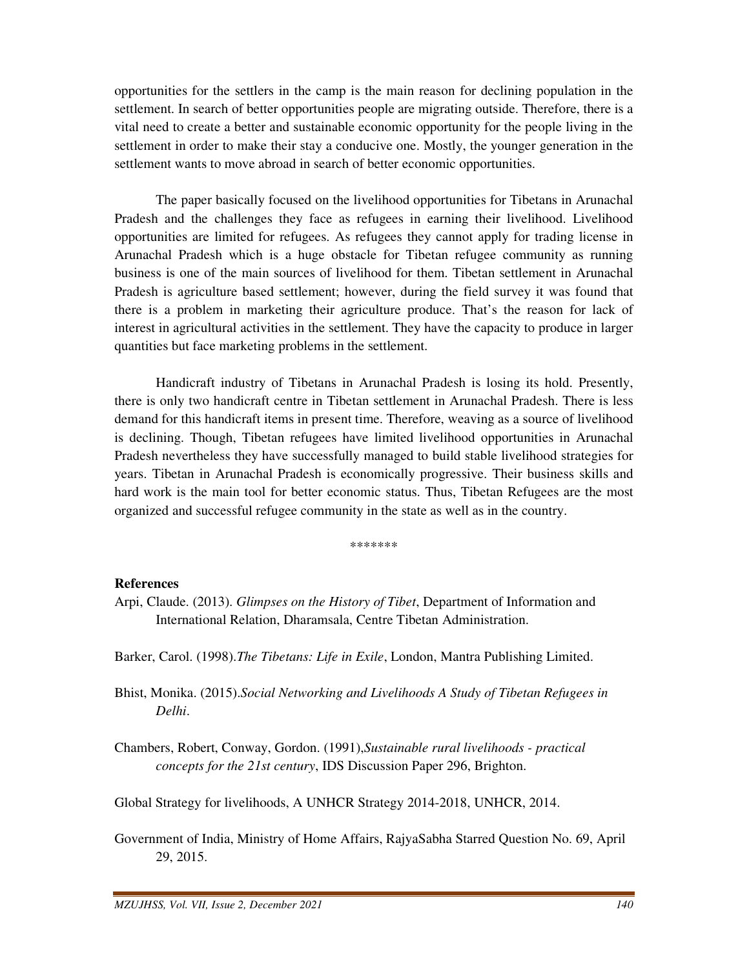opportunities for the settlers in the camp is the main reason for declining population in the settlement. In search of better opportunities people are migrating outside. Therefore, there is a vital need to create a better and sustainable economic opportunity for the people living in the settlement in order to make their stay a conducive one. Mostly, the younger generation in the settlement wants to move abroad in search of better economic opportunities.

 The paper basically focused on the livelihood opportunities for Tibetans in Arunachal Pradesh and the challenges they face as refugees in earning their livelihood. Livelihood opportunities are limited for refugees. As refugees they cannot apply for trading license in Arunachal Pradesh which is a huge obstacle for Tibetan refugee community as running business is one of the main sources of livelihood for them. Tibetan settlement in Arunachal Pradesh is agriculture based settlement; however, during the field survey it was found that there is a problem in marketing their agriculture produce. That's the reason for lack of interest in agricultural activities in the settlement. They have the capacity to produce in larger quantities but face marketing problems in the settlement.

 Handicraft industry of Tibetans in Arunachal Pradesh is losing its hold. Presently, there is only two handicraft centre in Tibetan settlement in Arunachal Pradesh. There is less demand for this handicraft items in present time. Therefore, weaving as a source of livelihood is declining. Though, Tibetan refugees have limited livelihood opportunities in Arunachal Pradesh nevertheless they have successfully managed to build stable livelihood strategies for years. Tibetan in Arunachal Pradesh is economically progressive. Their business skills and hard work is the main tool for better economic status. Thus, Tibetan Refugees are the most organized and successful refugee community in the state as well as in the country.

\*\*\*\*\*\*\*

#### **References**

- Arpi, Claude. (2013). *Glimpses on the History of Tibet*, Department of Information and International Relation, Dharamsala, Centre Tibetan Administration.
- Barker, Carol. (1998).*The Tibetans: Life in Exile*, London, Mantra Publishing Limited.
- Bhist, Monika. (2015).*Social Networking and Livelihoods A Study of Tibetan Refugees in Delhi*.
- Chambers, Robert, Conway, Gordon. (1991),*Sustainable rural livelihoods practical concepts for the 21st century*, IDS Discussion Paper 296, Brighton.

Global Strategy for livelihoods, A UNHCR Strategy 2014-2018, UNHCR, 2014.

Government of India, Ministry of Home Affairs, RajyaSabha Starred Question No. 69, April 29, 2015.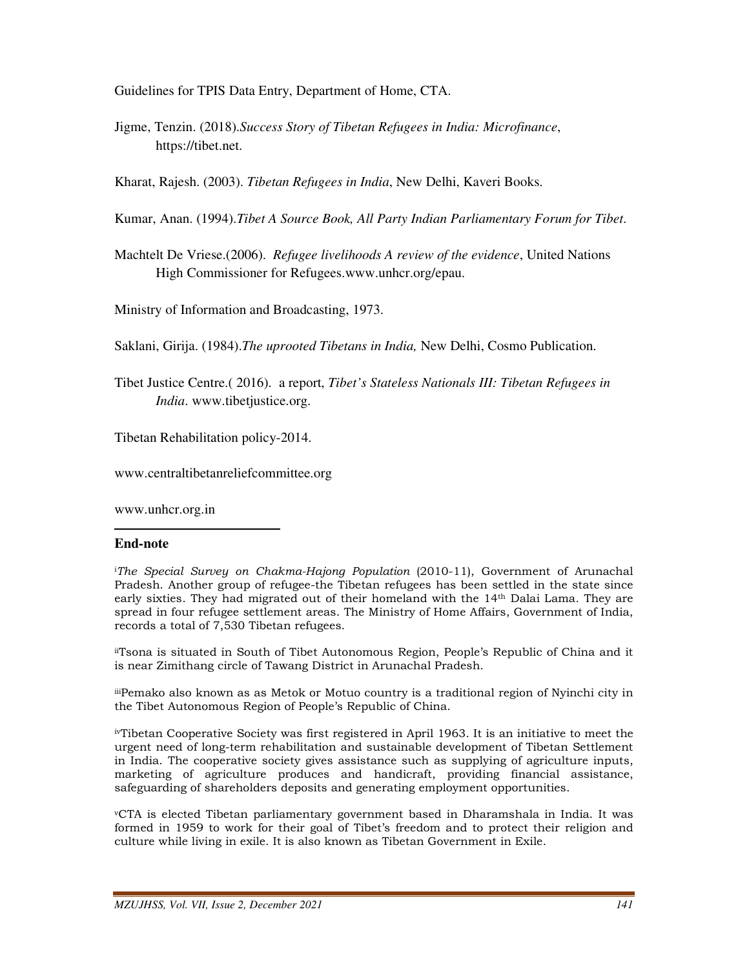Guidelines for TPIS Data Entry, Department of Home, CTA.

Jigme, Tenzin. (2018).*Success Story of Tibetan Refugees in India: Microfinance*, https://tibet.net.

Kharat, Rajesh. (2003). *Tibetan Refugees in India*, New Delhi, Kaveri Books.

Kumar, Anan. (1994).*Tibet A Source Book, All Party Indian Parliamentary Forum for Tibet*.

Machtelt De Vriese.(2006). *Refugee livelihoods A review of the evidence*, United Nations High Commissioner for Refugees.www.unhcr.org/epau.

Ministry of Information and Broadcasting, 1973.

Saklani, Girija. (1984).*The uprooted Tibetans in India,* New Delhi, Cosmo Publication.

Tibet Justice Centre.( 2016). a report, *Tibet's Stateless Nationals III: Tibetan Refugees in India*. www.tibetjustice.org.

Tibetan Rehabilitation policy-2014.

www.centraltibetanreliefcommittee.org

www.unhcr.org.in

#### **End-note**

 $\overline{a}$ 

<sup>i</sup>The Special Survey on Chakma-Hajong Population (2010-11), Government of Arunachal Pradesh. Another group of refugee-the Tibetan refugees has been settled in the state since early sixties. They had migrated out of their homeland with the 14th Dalai Lama. They are spread in four refugee settlement areas. The Ministry of Home Affairs, Government of India, records a total of 7,530 Tibetan refugees.

iiTsona is situated in South of Tibet Autonomous Region, People's Republic of China and it is near Zimithang circle of Tawang District in Arunachal Pradesh.

iiiPemako also known as as Metok or Motuo country is a traditional region of Nyinchi city in the Tibet Autonomous Region of People's Republic of China.

ivTibetan Cooperative Society was first registered in April 1963. It is an initiative to meet the urgent need of long-term rehabilitation and sustainable development of Tibetan Settlement in India. The cooperative society gives assistance such as supplying of agriculture inputs, marketing of agriculture produces and handicraft, providing financial assistance, safeguarding of shareholders deposits and generating employment opportunities.

<sup>v</sup>CTA is elected Tibetan parliamentary government based in Dharamshala in India. It was formed in 1959 to work for their goal of Tibet's freedom and to protect their religion and culture while living in exile. It is also known as Tibetan Government in Exile.